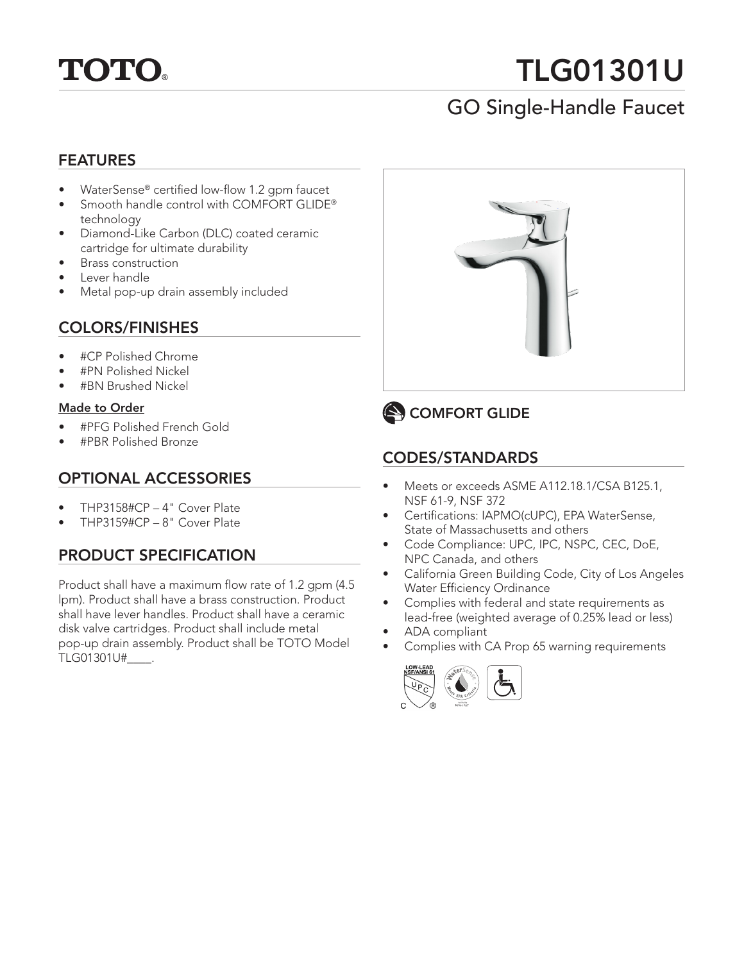

# TLG01301U

## GO Single-Handle Faucet

#### FEATURES

- WaterSense® certified low-flow 1.2 gpm faucet
- Smooth handle control with COMFORT GLIDE® technology
- Diamond-Like Carbon (DLC) coated ceramic cartridge for ultimate durability
- Brass construction
- Lever handle
- Metal pop-up drain assembly included

#### COLORS/FINISHES

- #CP Polished Chrome
- #PN Polished Nickel
- #BN Brushed Nickel

#### Made to Order

- #PFG Polished French Gold
- #PBR Polished Bronze

#### OPTIONAL ACCESSORIES

- THP3158#CP 4" Cover Plate
- THP3159#CP 8" Cover Plate

#### PRODUCT SPECIFICATION

Product shall have a maximum flow rate of 1.2 gpm (4.5 lpm). Product shall have a brass construction. Product shall have lever handles. Product shall have a ceramic disk valve cartridges. Product shall include metal pop-up drain assembly. Product shall be TOTO Model TLG01301U#\_\_\_\_.





## CODES/STANDARDS

- Meets or exceeds ASME A112.18.1/CSA B125.1, NSF 61-9, NSF 372
- Certifications: IAPMO(cUPC), EPA WaterSense, State of Massachusetts and others
- Code Compliance: UPC, IPC, NSPC, CEC, DoE, NPC Canada, and others
- California Green Building Code, City of Los Angeles Water Efficiency Ordinance
- Complies with federal and state requirements as lead-free (weighted average of 0.25% lead or less)
- ADA compliant
- Complies with CA Prop 65 warning requirements